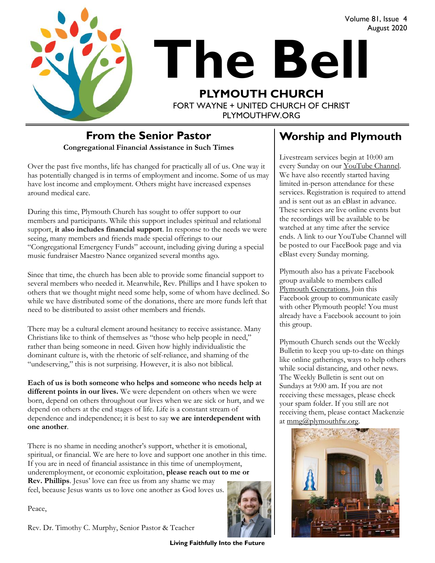

# **The Bell PLYMOUTH CHURCH** FORT WAYNE + UNITED CHURCH OF CHRIST

PI YMOUTHEW ORG

## **From the Senior Pastor**

**Congregational Financial Assistance in Such Times**

Over the past five months, life has changed for practically all of us. One way it has potentially changed is in terms of employment and income. Some of us may have lost income and employment. Others might have increased expenses around medical care.

During this time, Plymouth Church has sought to offer support to our members and participants. While this support includes spiritual and relational support, **it also includes financial support**. In response to the needs we were seeing, many members and friends made special offerings to our "Congregational Emergency Funds" account, including giving during a special music fundraiser Maestro Nance organized several months ago.

Since that time, the church has been able to provide some financial support to several members who needed it. Meanwhile, Rev. Phillips and I have spoken to others that we thought might need some help, some of whom have declined. So while we have distributed some of the donations, there are more funds left that need to be distributed to assist other members and friends.

There may be a cultural element around hesitancy to receive assistance. Many Christians like to think of themselves as "those who help people in need," rather than being someone in need. Given how highly individualistic the dominant culture is, with the rhetoric of self-reliance, and shaming of the "undeserving," this is not surprising. However, it is also not biblical.

**Each of us is both someone who helps and someone who needs help at different points in our lives.** We were dependent on others when we were born, depend on others throughout our lives when we are sick or hurt, and we depend on others at the end stages of life. Life is a constant stream of dependence and independence; it is best to say **we are interdependent with one another**.

There is no shame in needing another's support, whether it is emotional, spiritual, or financial. We are here to love and support one another in this time. If you are in need of financial assistance in this time of unemployment, underemployment, or economic exploitation, **please reach out to me or Rev. Phillips**. Jesus' love can free us from any shame we may feel, because Jesus wants us to love one another as God loves us.

Peace,



**Living Faithfully Into the Future**

#### **Worship and Plymouth**

Volume 81, Issue 4

August 2020

Livestream services begin at 10:00 am every Sunday on our YouTube Channel. We have also recently started having limited in-person attendance for these services. Registration is required to attend and is sent out as an eBlast in advance. These services are live online events but the recordings will be available to be watched at any time after the service ends. A link to our YouTube Channel will be posted to our FaceBook page and via eBlast every Sunday morning.

Plymouth also has a private Facebook group available to members called [Plymouth Generations.](https://www.facebook.com/groups/1487066224952817/) Join this Facebook group to communicate easily with other Plymouth people! You must already have a Facebook account to join this group.

Plymouth Church sends out the Weekly Bulletin to keep you up-to-date on things like online gatherings, ways to help others while social distancing, and other news. The Weekly Bulletin is sent out on Sundays at 9:00 am. If you are not receiving these messages, please check your spam folder. If you still are not receiving them, please contact Mackenzie at [mmg@plymouthfw.org.](mailto:mmg@plymouthfw.org)

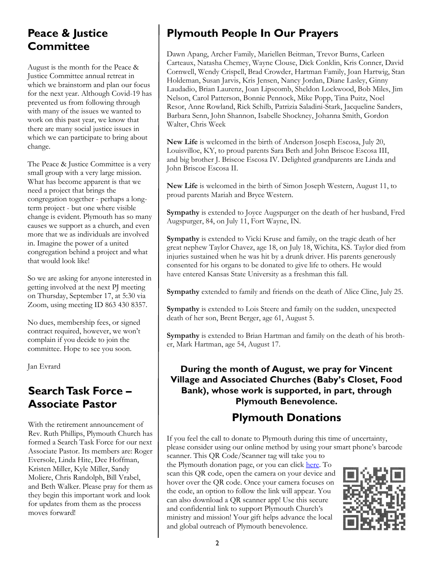#### **Peace & Justice Committee**

August is the month for the Peace & Justice Committee annual retreat in which we brainstorm and plan our focus for the next year. Although Covid-19 has prevented us from following through with many of the issues we wanted to work on this past year, we know that there are many social justice issues in which we can participate to bring about change.

The Peace & Justice Committee is a very small group with a very large mission. What has become apparent is that we need a project that brings the congregation together - perhaps a longterm project - but one where visible change is evident. Plymouth has so many causes we support as a church, and even more that we as individuals are involved in. Imagine the power of a united congregation behind a project and what that would look like!

So we are asking for anyone interested in getting involved at the next PJ meeting on Thursday, September 17, at 5:30 via Zoom, using meeting ID 863 430 8357.

No dues, membership fees, or signed contract required, however, we won't complain if you decide to join the committee. Hope to see you soon.

Jan Evrard

#### **Search Task Force – Associate Pastor**

With the retirement announcement of Rev. Ruth Phillips, Plymouth Church has formed a Search Task Force for our next Associate Pastor. Its members are: Roger Eversole, Linda Hite, Dee Hoffman, Kristen Miller, Kyle Miller, Sandy Moliere, Chris Randolph, Bill Vrabel, and Beth Walker. Please pray for them as they begin this important work and look for updates from them as the process moves forward!

#### **Plymouth People In Our Prayers**

Dawn Apang, Archer Family, Mariellen Beitman, Trevor Burns, Carleen Carteaux, Natasha Chemey, Wayne Clouse, Dick Conklin, Kris Conner, David Cornwell, Wendy Crispell, Brad Crowder, Hartman Family, Joan Hartwig, Stan Holdeman, Susan Jarvis, Kris Jensen, Nancy Jordan, Diane Lasley, Ginny Laudadio, Brian Laurenz, Joan Lipscomb, Sheldon Lockwood, Bob Miles, Jim Nelson, Carol Patterson, Bonnie Pennock, Mike Popp, Tina Puitz, Noel Resor, Anne Rowland, Rick Schilb, Patrizia Saladini-Stark, Jacqueline Sanders, Barbara Senn, John Shannon, Isabelle Shockney, Johanna Smith, Gordon Walter, Chris Week

**New Life** is welcomed in the birth of Anderson Joseph Escosa, July 20, Louisvilloe, KY, to proud parents Sara Beth and John Briscoe Escosa III, and big brother J. Briscoe Escosa IV. Delighted grandparents are Linda and John Briscoe Escosa II.

**New Life** is welcomed in the birth of Simon Joseph Western, August 11, to proud parents Mariah and Bryce Western.

**Sympathy** is extended to Joyce Augspurger on the death of her husband, Fred Augspurger, 84, on July 11, Fort Wayne, IN.

**Sympathy** is extended to Vicki Kruse and family, on the tragic death of her great nephew Taylor Chavez, age 18, on July 18, Wichita, KS. Taylor died from injuries sustained when he was hit by a drunk driver. His parents generously consented for his organs to be donated to give life to others. He would have entered Kansas State University as a freshman this fall.

**Sympathy** extended to family and friends on the death of Alice Cline, July 25.

**Sympathy** is extended to Lois Steere and family on the sudden, unexpected death of her son, Brent Berger, age 61, August 5.

**Sympathy** is extended to Brian Hartman and family on the death of his brother, Mark Hartman, age 54, August 17.

#### **During the month of August, we pray for Vincent Village and Associated Churches (Baby's Closet, Food Bank), whose work is supported, in part, through Plymouth Benevolence.**

#### **Plymouth Donations**

If you feel the call to donate to Plymouth during this time of uncertainty, please consider using our online method by using your smart phone's barcode scanner. This QR Code/Scanner tag will take you to

the Plymouth donation page, or you can click [here.](https://www.eservicepayments.com/cgi-bin/Vanco_ver3.vps?appver3=wWsk24ZWJSTZKsGd1RMKlg0BDvsSG3VIWQCPJNNxD8upkiY7JlDavDsozUE7KG0nFx2NSo8LdUKGuGuF396vbVaiPstRo5nGq-DzvnYb662XHubq5Z7ap5JVmPErc4ZeYHCKCZhESjGNQmZ5B-6dx2HOd3DsUXzGmTYEh8VU7JU=&ver=3) To scan this QR code, open the camera on your device and hover over the QR code. Once your camera focuses on the code, an option to follow the link will appear. You can also download a QR scanner app! Use this secure and confidential link to support Plymouth Church's ministry and mission! Your gift helps advance the local and global outreach of Plymouth benevolence.

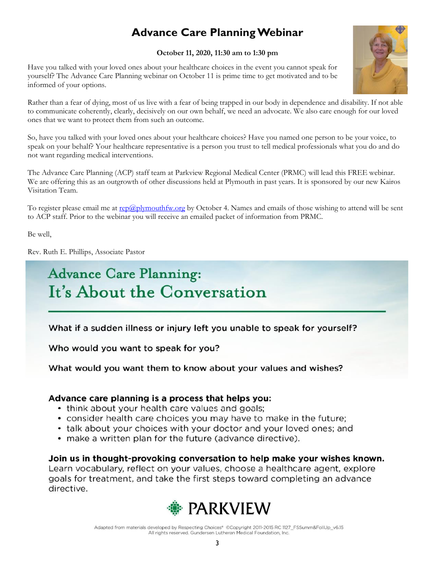## **Advance Care Planning Webinar**

#### **October 11, 2020, 11:30 am to 1:30 pm**

Have you talked with your loved ones about your healthcare choices in the event you cannot speak for yourself? The Advance Care Planning webinar on October 11 is prime time to get motivated and to be informed of your options.



Rather than a fear of dying, most of us live with a fear of being trapped in our body in dependence and disability. If not able to communicate coherently, clearly, decisively on our own behalf, we need an advocate. We also care enough for our loved ones that we want to protect them from such an outcome.

So, have you talked with your loved ones about your healthcare choices? Have you named one person to be your voice, to speak on your behalf? Your healthcare representative is a person you trust to tell medical professionals what you do and do not want regarding medical interventions.

The Advance Care Planning (ACP) staff team at Parkview Regional Medical Center (PRMC) will lead this FREE webinar. We are offering this as an outgrowth of other discussions held at Plymouth in past years. It is sponsored by our new Kairos Visitation Team.

To register please email me at [rep@plymouthfw.org](mailto:rep@plymouthfw.org) by October 4. Names and emails of those wishing to attend will be sent to ACP staff. Prior to the webinar you will receive an emailed packet of information from PRMC.

Be well,

Rev. Ruth E. Phillips, Associate Pastor

# **Advance Care Planning:** It's About the Conversation

What if a sudden illness or injury left you unable to speak for yourself?

Who would you want to speak for you?

What would you want them to know about your values and wishes?

#### Advance care planning is a process that helps you:

- think about your health care values and goals;
- consider health care choices you may have to make in the future;
- talk about your choices with your doctor and your loved ones; and
- make a written plan for the future (advance directive).

Join us in thought-provoking conversation to help make your wishes known. Learn vocabulary, reflect on your values, choose a healthcare agent, explore goals for treatment, and take the first steps toward completing an advance directive.



Adapted from materials developed by Respecting Choices® ©Copyright 2011-2015 RC 1127\_FSSumm&FollUp\_v6.15 All rights reserved. Gundersen Lutheran Medical Foundation, Inc.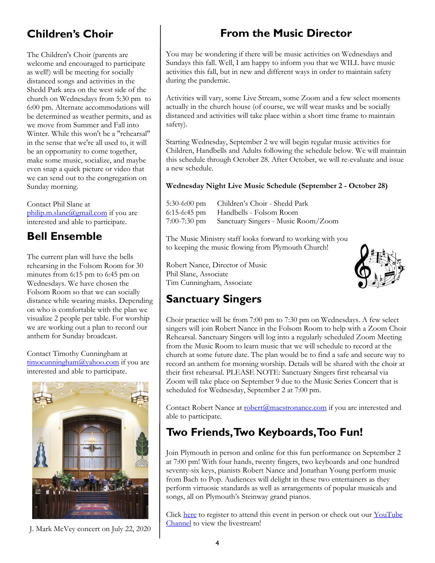#### **Children's Choir**

The Children's Choir (parents are welcome and encouraged to participate as well!) will be meeting for socially distanced songs and activities in the Shedd Park area on the west side of the church on Wednesdays from 5:30 pm to 6:00 pm. Alternate accommodations will be determined as weather permits, and as we move from Summer and Fall into Winter. While this won't be a "rehearsal" in the sense that we're all used to, it will be an opportunity to come together, make some music, socialize, and maybe even snap a quick picture or video that we can send out to the congregation on Sunday morning.

Contact Phil Slane at [philip.m.slane@gmail.com](mailto:philip.m.slane@gmail.com) if you are interested and able to participate.

#### **Bell Ensemble**

The current plan will have the bells rehearsing in the Folsom Room for 30 minutes from 6:15 pm to 6:45 pm on Wednesdays. We have chosen the Folsom Room so that we can socially distance while wearing masks. Depending on who is comfortable with the plan we visualize 2 people per table. For worship we are working out a plan to record our anthem for Sunday broadcast.

Contact Timothy Cunningham at [timocunningham@yahoo.com](mailto:timocunningham@yahoo.com) if you are interested and able to participate.



J. Mark McVey concert on July 22, 2020

## **From the Music Director**

You may be wondering if there will be music activities on Wednesdays and Sundays this fall. Well, I am happy to inform you that we WILL have music activities this fall, but in new and different ways in order to maintain safety during the pandemic.

Activities will vary, some Live Stream, some Zoom and a few select moments actually in the church house (of course, we will wear masks and be socially distanced and activities will take place within a short time frame to maintain safety).

Starting Wednesday, September 2 we will begin regular music activities for Children, Handbells and Adults following the schedule below. We will maintain this schedule through October 28. After October, we will re-evaluate and issue a new schedule.

#### **Wednesday Night Live Music Schedule (September 2 - October 28)**

5:30-6:00 pm Children's Choir - Shedd Park 6:15-6:45 pm Handbells - Folsom Room 7:00-7:30 pm Sanctuary Singers - Music Room/Zoom

The Music Ministry staff looks forward to working with you to keeping the music flowing from Plymouth Church!

Robert Nance, Director of Music Phil Slane, Associate Tim Cunningham, Associate



#### **Sanctuary Singers**

Choir practice will be from 7:00 pm to 7:30 pm on Wednesdays. A few select singers will join Robert Nance in the Folsom Room to help with a Zoom Choir Rehearsal. Sanctuary Singers will log into a regularly scheduled Zoom Meeting from the Music Room to learn music that we will schedule to record at the church at some future date. The plan would be to find a safe and secure way to record an anthem for morning worship. Details will be shared with the choir at their first rehearsal. PLEASE NOTE: Sanctuary Singers first rehearsal via Zoom will take place on September 9 due to the Music Series Concert that is scheduled for Wednesday, September 2 at 7:00 pm.

Contact Robert Nance at [robert@maestronance.com](mailto:robert@maestronance.com) if you are interested and able to participate.

#### **Two Friends, Two Keyboards, Too Fun!**

Join Plymouth in person and online for this fun performance on September 2 at 7:00 pm! With four hands, twenty fingers, two keyboards and one hundred seventy-six keys, pianists Robert Nance and Jonathan Young perform music from Bach to Pop. Audiences will delight in these two entertainers as they perform virtuosic standards as well as arrangements of popular musicals and songs, all on Plymouth's Steinway grand pianos.

Click [here](https://www.eventbrite.com/e/two-friends-two-keyboards-too-fun-tickets-111237193440) to register to attend this event in person or check out our [YouTube](youtube.com/plymouthchurchfw)  [Channel](youtube.com/plymouthchurchfw) to view the livestream!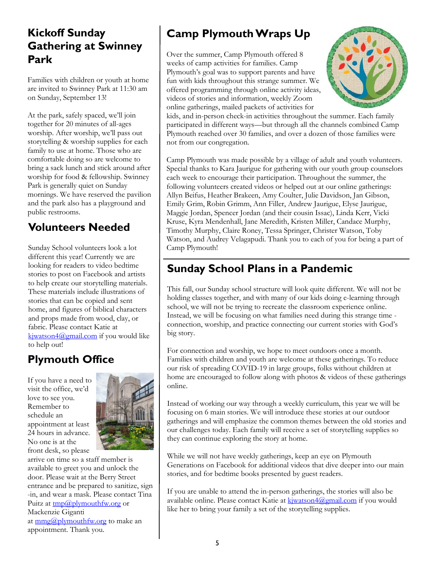#### **Kickoff Sunday Gathering at Swinney Park**

Families with children or youth at home are invited to Swinney Park at 11:30 am on Sunday, September 13!

At the park, safely spaced, we'll join together for 20 minutes of all-ages worship. After worship, we'll pass out storytelling & worship supplies for each family to use at home. Those who are comfortable doing so are welcome to bring a sack lunch and stick around after worship for food & fellowship. Swinney Park is generally quiet on Sunday mornings. We have reserved the pavilion and the park also has a playground and public restrooms.

#### **Volunteers Needed**

Sunday School volunteers look a lot different this year! Currently we are looking for readers to video bedtime stories to post on Facebook and artists to help create our storytelling materials. These materials include illustrations of stories that can be copied and sent home, and figures of biblical characters and props made from wood, clay, or fabric. Please contact Katie at [kjwatson4@gmail.com](mailto:kjwatson4@gmail.com) if you would like to help out!

#### **Plymouth Office**

If you have a need to visit the office, we'd love to see you. Remember to schedule an appointment at least 24 hours in advance. No one is at the front desk, so please



arrive on time so a staff member is available to greet you and unlock the door. Please wait at the Berry Street entrance and be prepared to sanitize, sign -in, and wear a mask. Please contact Tina Puitz at  $\text{tmp}(a)$  plymouth fw.org or Mackenzie Giganti at  $\text{mmg}(a)$  plymouth fw.org to make an appointment. Thank you.

## **Camp Plymouth Wraps Up**

Over the summer, Camp Plymouth offered 8 weeks of camp activities for families. Camp Plymouth's goal was to support parents and have fun with kids throughout this strange summer. We offered programming through online activity ideas, videos of stories and information, weekly Zoom online gatherings, mailed packets of activities for



kids, and in-person check-in activities throughout the summer. Each family participated in different ways—but through all the channels combined Camp Plymouth reached over 30 families, and over a dozen of those families were not from our congregation.

Camp Plymouth was made possible by a village of adult and youth volunteers. Special thanks to Kara Jaurigue for gathering with our youth group counselors each week to encourage their participation. Throughout the summer, the following volunteers created videos or helped out at our online gatherings: Allyn Beifus, Heather Brakeen, Amy Coulter, Julie Davidson, Jan Gibson, Emily Grim, Robin Grimm, Ann Filler, Andrew Jaurigue, Elyse Jaurigue, Maggie Jordan, Spencer Jordan (and their cousin Issac), Linda Kerr, Vicki Kruse, Kyra Mendenhall, Jane Meredith, Kristen Miller, Candace Murphy, Timothy Murphy, Claire Roney, Tessa Springer, Christer Watson, Toby Watson, and Audrey Velagapudi. Thank you to each of you for being a part of Camp Plymouth!

#### **Sunday School Plans in a Pandemic**

This fall, our Sunday school structure will look quite different. We will not be holding classes together, and with many of our kids doing e-learning through school, we will not be trying to recreate the classroom experience online. Instead, we will be focusing on what families need during this strange time connection, worship, and practice connecting our current stories with God's big story.

For connection and worship, we hope to meet outdoors once a month. Families with children and youth are welcome at these gatherings. To reduce our risk of spreading COVID-19 in large groups, folks without children at home are encouraged to follow along with photos & videos of these gatherings online.

Instead of working our way through a weekly curriculum, this year we will be focusing on 6 main stories. We will introduce these stories at our outdoor gatherings and will emphasize the common themes between the old stories and our challenges today. Each family will receive a set of storytelling supplies so they can continue exploring the story at home.

While we will not have weekly gatherings, keep an eye on Plymouth Generations on Facebook for additional videos that dive deeper into our main stories, and for bedtime books presented by guest readers.

If you are unable to attend the in-person gatherings, the stories will also be available online. Please contact Katie at [kjwatson4@gmail.com](mailto:kjwatson4@gmail.com) if you would like her to bring your family a set of the storytelling supplies.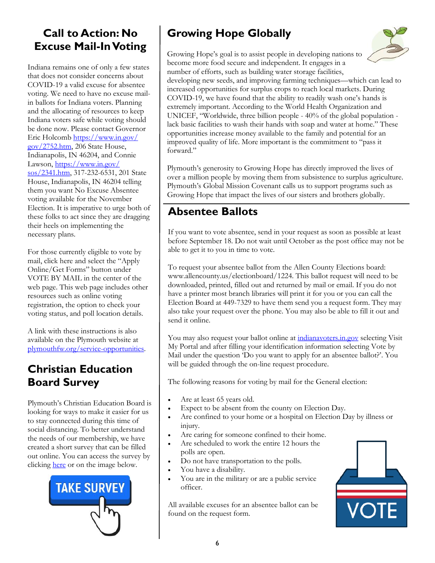#### **Call to Action: No Excuse Mail-In Voting**

Indiana remains one of only a few states that does not consider concerns about COVID-19 a valid excuse for absentee voting. We need to have no excuse mailin ballots for Indiana voters. Planning and the allocating of resources to keep Indiana voters safe while voting should be done now. Please contact Governor Eric Holcomb [https://www.in.gov/](https://www.in.gov/gov/2752.htm) [gov/2752.htm,](https://www.in.gov/gov/2752.htm) 206 State House, Indianapolis, IN 46204, and Connie Lawson, [https://www.in.gov/](https://www.in.gov/sos/2341.htm) [sos/2341.htm,](https://www.in.gov/sos/2341.htm) 317-232-6531, 201 State House, Indianapolis, IN 46204 telling them you want No Excuse Absentee voting available for the November Election. It is imperative to urge both of these folks to act since they are dragging their heels on implementing the necessary plans.

For those currently eligible to vote by mail, click here and select the "Apply Online/Get Forms" button under VOTE BY MAIL in the center of the web page. This web page includes other resources such as online voting registration, the option to check your voting status, and poll location details.

A link with these instructions is also available on the Plymouth website at [plymouthfw.org/service-opportunities.](plymouthfw.org/service-opportunities)

#### **Christian Education Board Survey**

Plymouth's Christian Education Board is looking for ways to make it easier for us to stay connected during this time of social distancing. To better understand the needs of our membership, we have created a short survey that can be filled out online. You can access the survey by clicking [here](https://plymouthchurch.shelbynextchms.com/external/form/85434c88-04f1-4ba8-a3c6-9b8e947b7f3d) or on the image below.



## **Growing Hope Globally**



Growing Hope's goal is to assist people in developing nations to become more food secure and independent. It engages in a number of efforts, such as building water storage facilities,

developing new seeds, and improving farming techniques—which can lead to increased opportunities for surplus crops to reach local markets. During COVID-19, we have found that the ability to readily wash one's hands is extremely important. According to the World Health Organization and UNICEF, "Worldwide, three billion people - 40% of the global population lack basic facilities to wash their hands with soap and water at home." These opportunities increase money available to the family and potential for an improved quality of life. More important is the commitment to "pass it forward."

Plymouth's generosity to Growing Hope has directly improved the lives of over a million people by moving them from subsistence to surplus agriculture. Plymouth's Global Mission Covenant calls us to support programs such as Growing Hope that impact the lives of our sisters and brothers globally.

#### **Absentee Ballots**

If you want to vote absentee, send in your request as soon as possible at least before September 18. Do not wait until October as the post office may not be able to get it to you in time to vote.

To request your absentee ballot from the Allen County Elections board: www.allencounty.us/electionboard/1224. This ballot request will need to be downloaded, printed, filled out and returned by mail or email. If you do not have a printer most branch libraries will print it for you or you can call the Election Board at 449-7329 to have them send you a request form. They may also take your request over the phone. You may also be able to fill it out and send it online.

You may also request your ballot online at<indianavoters.in.gov> selecting Visit My Portal and after filling your identification information selecting Vote by Mail under the question 'Do you want to apply for an absentee ballot?'. You will be guided through the on-line request procedure.

The following reasons for voting by mail for the General election:

- Are at least 65 years old.
- Expect to be absent from the county on Election Day.
- Are confined to your home or a hospital on Election Day by illness or injury.
- Are caring for someone confined to their home.
- Are scheduled to work the entire 12 hours the polls are open.
- Do not have transportation to the polls.
- You have a disability.
- You are in the military or are a public service officer.

All available excuses for an absentee ballot can be found on the request form.

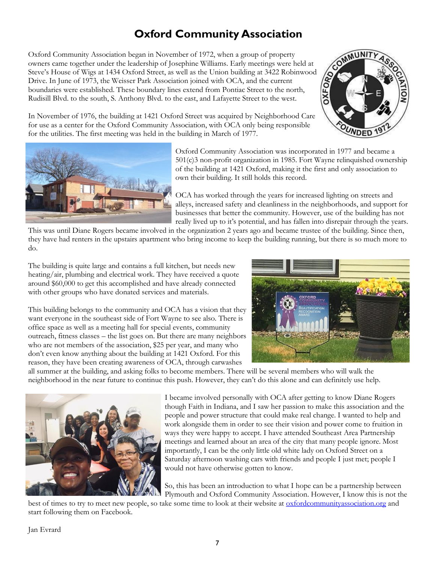#### **Oxford Community Association**

Oxford Community Association began in November of 1972, when a group of property owners came together under the leadership of Josephine Williams. Early meetings were held at Steve's House of Wigs at 1434 Oxford Street, as well as the Union building at 3422 Robinwood Drive. In June of 1973, the Weisser Park Association joined with OCA, and the current boundaries were established. These boundary lines extend from Pontiac Street to the north, Rudisill Blvd. to the south, S. Anthony Blvd. to the east, and Lafayette Street to the west.



In November of 1976, the building at 1421 Oxford Street was acquired by Neighborhood Care for use as a center for the Oxford Community Association, with OCA only being responsible for the utilities. The first meeting was held in the building in March of 1977.



Oxford Community Association was incorporated in 1977 and became a 501(c)3 non-profit organization in 1985. Fort Wayne relinquished ownership of the building at 1421 Oxford, making it the first and only association to own their building. It still holds this record.

OCA has worked through the years for increased lighting on streets and alleys, increased safety and cleanliness in the neighborhoods, and support for businesses that better the community. However, use of the building has not really lived up to it's potential, and has fallen into disrepair through the years.

This was until Diane Rogers became involved in the organization 2 years ago and became trustee of the building. Since then, they have had renters in the upstairs apartment who bring income to keep the building running, but there is so much more to do.

The building is quite large and contains a full kitchen, but needs new heating/air, plumbing and electrical work. They have received a quote around \$60,000 to get this accomplished and have already connected with other groups who have donated services and materials.

This building belongs to the community and OCA has a vision that they want everyone in the southeast side of Fort Wayne to see also. There is office space as well as a meeting hall for special events, community outreach, fitness classes – the list goes on. But there are many neighbors who are not members of the association, \$25 per year, and many who don't even know anything about the building at 1421 Oxford. For this reason, they have been creating awareness of OCA, through carwashes



all summer at the building, and asking folks to become members. There will be several members who will walk the neighborhood in the near future to continue this push. However, they can't do this alone and can definitely use help.



I became involved personally with OCA after getting to know Diane Rogers though Faith in Indiana, and I saw her passion to make this association and the people and power structure that could make real change. I wanted to help and work alongside them in order to see their vision and power come to fruition in ways they were happy to accept. I have attended Southeast Area Partnership meetings and learned about an area of the city that many people ignore. Most importantly, I can be the only little old white lady on Oxford Street on a Saturday afternoon washing cars with friends and people I just met; people I would not have otherwise gotten to know.

So, this has been an introduction to what I hope can be a partnership between Plymouth and Oxford Community Association. However, I know this is not the

best of times to try to meet new people, so take some time to look at their website at <u>[oxfordcommunityassociation.org](https://oxfordcommunityassociation.org/)</u> and start following them on Facebook.

#### Jan Evrard